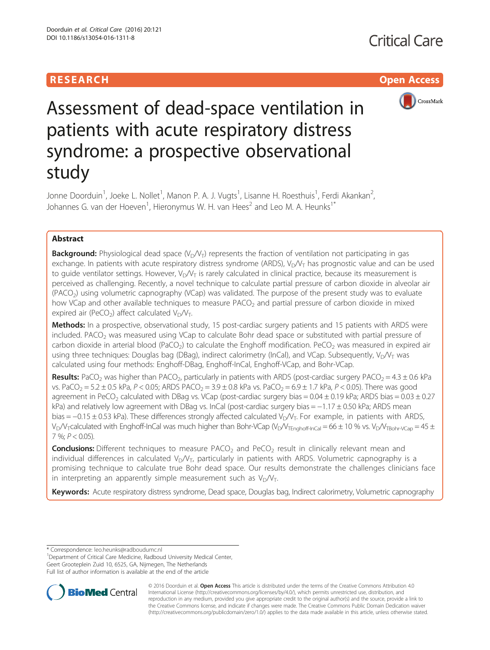# **RESEARCH CHILD CONTROL** CONTROL CONTROL CONTROL CONTROL CONTROL CONTROL CONTROL CONTROL CONTROL CONTROL CONTROL CONTROL CONTROL CONTROL CONTROL CONTROL CONTROL CONTROL CONTROL CONTROL CONTROL CONTROL CONTROL CONTROL CONTR



# Assessment of dead-space ventilation in patients with acute respiratory distress syndrome: a prospective observational study

Jonne Doorduin<sup>1</sup>, Joeke L. Nollet<sup>1</sup>, Manon P. A. J. Vugts<sup>1</sup>, Lisanne H. Roesthuis<sup>1</sup>, Ferdi Akankan<sup>2</sup> , Johannes G. van der Hoeven<sup>1</sup>, Hieronymus W. H. van Hees<sup>2</sup> and Leo M. A. Heunks<sup>1\*</sup>

# Abstract

**Background:** Physiological dead space  $(V_D/V_T)$  represents the fraction of ventilation not participating in gas exchange. In patients with acute respiratory distress syndrome (ARDS),  $V_D/V_T$  has prognostic value and can be used to guide ventilator settings. However,  $V_D/V_T$  is rarely calculated in clinical practice, because its measurement is perceived as challenging. Recently, a novel technique to calculate partial pressure of carbon dioxide in alveolar air  $(PACO<sub>2</sub>)$  using volumetric capnography (VCap) was validated. The purpose of the present study was to evaluate how VCap and other available techniques to measure  $PACO<sub>2</sub>$  and partial pressure of carbon dioxide in mixed expired air (PeCO<sub>2</sub>) affect calculated  $V_D/V_T$ .

Methods: In a prospective, observational study, 15 post-cardiac surgery patients and 15 patients with ARDS were included. PACO<sub>2</sub> was measured using VCap to calculate Bohr dead space or substituted with partial pressure of carbon dioxide in arterial blood (PaCO<sub>2</sub>) to calculate the Enghoff modification. PeCO<sub>2</sub> was measured in expired air using three techniques: Douglas bag (DBag), indirect calorimetry (InCal), and VCap. Subsequently,  $V_D/V_T$  was calculated using four methods: Enghoff-DBag, Enghoff-InCal, Enghoff-VCap, and Bohr-VCap.

Results: PaCO<sub>2</sub> was higher than PACO<sub>2</sub>, particularly in patients with ARDS (post-cardiac surgery PACO<sub>2</sub> = 4.3 ± 0.6 kPa vs. PaCO<sub>2</sub> = 5.2 ± 0.5 kPa, P < 0.05; ARDS PACO<sub>2</sub> = 3.9 ± 0.8 kPa vs. PaCO<sub>2</sub> = 6.9 ± 1.7 kPa, P < 0.05). There was good agreement in PeCO<sub>2</sub> calculated with DBag vs. VCap (post-cardiac surgery bias =  $0.04 \pm 0.19$  kPa; ARDS bias =  $0.03 \pm 0.27$ kPa) and relatively low agreement with DBag vs. InCal (post-cardiac surgery bias = −1.17 ± 0.50 kPa; ARDS mean bias = −0.15 ± 0.53 kPa). These differences strongly affected calculated V<sub>D</sub>/V<sub>T</sub>. For example, in patients with ARDS,  $V_D/V_T$ calculated with Enghoff-InCal was much higher than Bohr-VCap (V<sub>D</sub>/V<sub>TEnghoff-InCal</sub> = 66 ± 10 % vs. V<sub>D</sub>/V<sub>TBohr-VCap</sub> = 45 ±  $7\%$ ;  $P < 0.05$ ).

**Conclusions:** Different techniques to measure PACO<sub>2</sub> and PeCO<sub>2</sub> result in clinically relevant mean and individual differences in calculated  $V_D/V_T$ , particularly in patients with ARDS. Volumetric capnography is a promising technique to calculate true Bohr dead space. Our results demonstrate the challenges clinicians face in interpreting an apparently simple measurement such as  $V_D/V_T$ .

Keywords: Acute respiratory distress syndrome, Dead space, Douglas bag, Indirect calorimetry, Volumetric capnography

\* Correspondence: [leo.heunks@radboudumc.nl](mailto:leo.heunks@radboudumc.nl) <sup>1</sup>

<sup>1</sup>Department of Critical Care Medicine, Radboud University Medical Center, Geert Grooteplein Zuid 10, 6525, GA, Nijmegen, The Netherlands Full list of author information is available at the end of the article



© 2016 Doorduin et al. Open Access This article is distributed under the terms of the Creative Commons Attribution 4.0 International License [\(http://creativecommons.org/licenses/by/4.0/](http://creativecommons.org/licenses/by/4.0/)), which permits unrestricted use, distribution, and reproduction in any medium, provided you give appropriate credit to the original author(s) and the source, provide a link to the Creative Commons license, and indicate if changes were made. The Creative Commons Public Domain Dedication waiver [\(http://creativecommons.org/publicdomain/zero/1.0/](http://creativecommons.org/publicdomain/zero/1.0/)) applies to the data made available in this article, unless otherwise stated.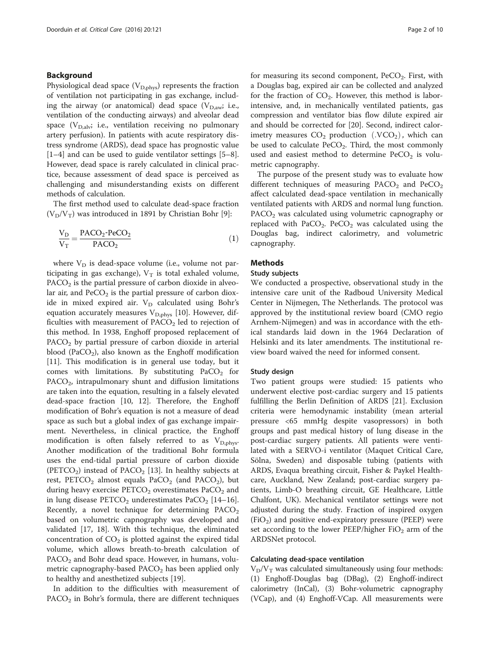### <span id="page-1-0"></span>Background

Physiological dead space ( $V_{\text{D,phys}}$ ) represents the fraction of ventilation not participating in gas exchange, including the airway (or anatomical) dead space  $(V_{D,aw}; i.e.,$ ventilation of the conducting airways) and alveolar dead space  $(V_{D,adv}$ ; i.e., ventilation receiving no pulmonary artery perfusion). In patients with acute respiratory distress syndrome (ARDS), dead space has prognostic value [[1](#page-8-0)–[4\]](#page-8-0) and can be used to guide ventilator settings [\[5](#page-8-0)–[8](#page-8-0)]. However, dead space is rarely calculated in clinical practice, because assessment of dead space is perceived as challenging and misunderstanding exists on different methods of calculation.

The first method used to calculate dead-space fraction  $(V_D/V_T)$  was introduced in 1891 by Christian Bohr [[9\]](#page-8-0):

$$
\frac{V_D}{V_T} = \frac{PACO_2 \cdot PeCO_2}{PACO_2} \tag{1}
$$

where  $V_D$  is dead-space volume (i.e., volume not participating in gas exchange),  $V_T$  is total exhaled volume,  $PACO<sub>2</sub>$  is the partial pressure of carbon dioxide in alveolar air, and  $PeCO<sub>2</sub>$  is the partial pressure of carbon dioxide in mixed expired air.  $V_D$  calculated using Bohr's equation accurately measures  $V_{D,phys}$  [\[10\]](#page-8-0). However, difficulties with measurement of  $PACO<sub>2</sub>$  led to rejection of this method. In 1938, Enghoff proposed replacement of  $PACO<sub>2</sub>$  by partial pressure of carbon dioxide in arterial blood (PaCO<sub>2</sub>), also known as the Enghoff modification [[11\]](#page-8-0). This modification is in general use today, but it comes with limitations. By substituting  $PaCO<sub>2</sub>$  for  $PACO<sub>2</sub>$ , intrapulmonary shunt and diffusion limitations are taken into the equation, resulting in a falsely elevated dead-space fraction [[10, 12](#page-8-0)]. Therefore, the Enghoff modification of Bohr's equation is not a measure of dead space as such but a global index of gas exchange impairment. Nevertheless, in clinical practice, the Enghoff modification is often falsely referred to as  $V_{\text{D,phys}}$ . Another modification of the traditional Bohr formula uses the end-tidal partial pressure of carbon dioxide (PETCO<sub>2</sub>) instead of PACO<sub>2</sub> [[13](#page-8-0)]. In healthy subjects at rest, PETCO<sub>2</sub> almost equals PaCO<sub>2</sub> (and PACO<sub>2</sub>), but during heavy exercise  $\text{PETCO}_2$  overestimates  $\text{PaCO}_2$  and in lung disease  $PETCO<sub>2</sub>$  underestimates  $PaCO<sub>2</sub>$  [[14](#page-8-0)–[16](#page-8-0)]. Recently, a novel technique for determining  $PACO<sub>2</sub>$ based on volumetric capnography was developed and validated [\[17, 18\]](#page-8-0). With this technique, the eliminated concentration of  $CO<sub>2</sub>$  is plotted against the expired tidal volume, which allows breath-to-breath calculation of PACO<sub>2</sub> and Bohr dead space. However, in humans, volumetric capnography-based  $PACO<sub>2</sub>$  has been applied only to healthy and anesthetized subjects [[19](#page-8-0)].

In addition to the difficulties with measurement of  $PACO<sub>2</sub>$  in Bohr's formula, there are different techniques for measuring its second component,  $PeCO_2$ . First, with a Douglas bag, expired air can be collected and analyzed for the fraction of  $CO<sub>2</sub>$ . However, this method is laborintensive, and, in mechanically ventilated patients, gas compression and ventilator bias flow dilute expired air and should be corrected for [[20](#page-8-0)]. Second, indirect calorimetry measures  $CO_2$  production  $(VCO_2)$ , which can be used to calculate  $PeCO<sub>2</sub>$ . Third, the most commonly used and easiest method to determine  $PeCO<sub>2</sub>$  is volumetric capnography.

The purpose of the present study was to evaluate how different techniques of measuring  $PACO<sub>2</sub>$  and  $PeCO<sub>2</sub>$ affect calculated dead-space ventilation in mechanically ventilated patients with ARDS and normal lung function.  $PACO<sub>2</sub>$  was calculated using volumetric capnography or replaced with  $PaCO<sub>2</sub>$ .  $PeCO<sub>2</sub>$  was calculated using the Douglas bag, indirect calorimetry, and volumetric capnography.

#### Methods

#### Study subjects

We conducted a prospective, observational study in the intensive care unit of the Radboud University Medical Center in Nijmegen, The Netherlands. The protocol was approved by the institutional review board (CMO regio Arnhem-Nijmegen) and was in accordance with the ethical standards laid down in the 1964 Declaration of Helsinki and its later amendments. The institutional review board waived the need for informed consent.

#### Study design

Two patient groups were studied: 15 patients who underwent elective post-cardiac surgery and 15 patients fulfilling the Berlin Definition of ARDS [[21\]](#page-9-0). Exclusion criteria were hemodynamic instability (mean arterial pressure <65 mmHg despite vasopressors) in both groups and past medical history of lung disease in the post-cardiac surgery patients. All patients were ventilated with a SERVO-i ventilator (Maquet Critical Care, Sölna, Sweden) and disposable tubing (patients with ARDS, Evaqua breathing circuit, Fisher & Paykel Healthcare, Auckland, New Zealand; post-cardiac surgery patients, Limb-O breathing circuit, GE Healthcare, Little Chalfont, UK). Mechanical ventilator settings were not adjusted during the study. Fraction of inspired oxygen  $(FiO<sub>2</sub>)$  and positive end-expiratory pressure (PEEP) were set according to the lower PEEP/higher  $FiO<sub>2</sub>$  arm of the ARDSNet protocol.

#### Calculating dead-space ventilation

 $V<sub>D</sub>/V<sub>T</sub>$  was calculated simultaneously using four methods: (1) Enghoff-Douglas bag (DBag), (2) Enghoff-indirect calorimetry (InCal), (3) Bohr-volumetric capnography (VCap), and (4) Enghoff-VCap. All measurements were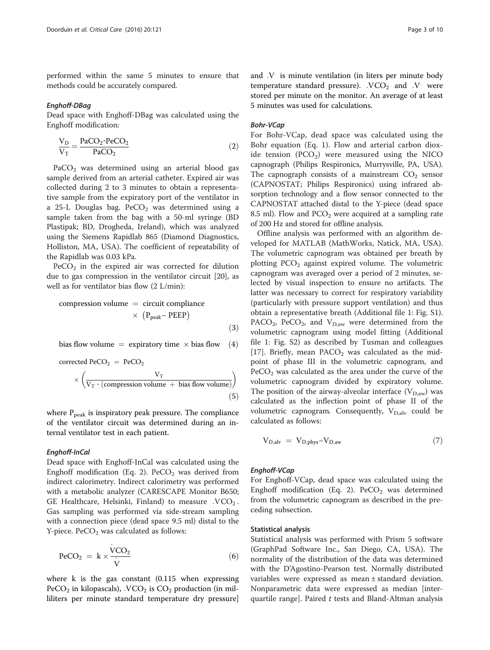performed within the same 5 minutes to ensure that methods could be accurately compared.

Enghoff-DBag Dead space with Enghoff-DBag was calculated using the Enghoff modification:

$$
\frac{V_D}{V_T} = \frac{PaCO_2 \cdot PeCO_2}{PaCO_2} \tag{2}
$$

 $PaCO<sub>2</sub>$  was determined using an arterial blood gas sample derived from an arterial catheter. Expired air was collected during 2 to 3 minutes to obtain a representative sample from the expiratory port of the ventilator in a 25-L Douglas bag.  $PeCO<sub>2</sub>$  was determined using a sample taken from the bag with a 50-ml syringe (BD Plastipak; BD, Drogheda, Ireland), which was analyzed using the Siemens Rapidlab 865 (Diamond Diagnostics, Holliston, MA, USA). The coefficient of repeatability of the Rapidlab was 0.03 kPa.

 $PeCO<sub>2</sub>$  in the expired air was corrected for dilution due to gas compression in the ventilator circuit [\[20](#page-8-0)], as well as for ventilator bias flow (2 L/min):

$$
\begin{aligned} \text{compression volume} &= \text{ circuit compliance} \\ &\times \text{ (Ppeak– PEEP)} \end{aligned} \tag{3}
$$

bias flow volume  $=$  expiratory time  $\times$  bias flow  $(4)$ 

corrected 
$$
PeCO_2 = PeCO_2
$$
  
\n
$$
\times \left( \frac{V_T}{V_T \cdot (compression \, volume + bias \, flow \, volume)} \right)
$$
\n(5)

where  $P_{peak}$  is inspiratory peak pressure. The compliance of the ventilator circuit was determined during an internal ventilator test in each patient.

Enghoff-InCal Dead space with Enghoff-InCal was calculated using the Enghoff modification (Eq. 2).  $PeCO_2$  was derived from indirect calorimetry. Indirect calorimetry was performed with a metabolic analyzer (CARESCAPE Monitor B650; GE Healthcare, Helsinki, Finland) to measure  $\cdot$ VCO<sub>2</sub>. Gas sampling was performed via side-stream sampling with a connection piece (dead space 9.5 ml) distal to the  $Y$ -piece. PeCO<sub>2</sub> was calculated as follows:

$$
PeCO_2 = k \times \frac{\text{VCO}_2}{\text{V}} \tag{6}
$$

where k is the gas constant (0.115 when expressing  $PeCO<sub>2</sub>$  in kilopascals),  $\rm VCO<sub>2</sub>$  is  $CO<sub>2</sub>$  production (in milliliters per minute standard temperature dry pressure]

and .V: is minute ventilation (in liters per minute body temperature standard pressure).  $\cdot$  VCO<sub>2</sub> and  $\cdot$ V: were stored per minute on the monitor. An average of at least 5 minutes was used for calculations.

For Bohr-VCap, dead space was calculated using the Bohr equation (Eq. [1](#page-1-0)). Flow and arterial carbon dioxide tension  $(PCO<sub>2</sub>)$  were measured using the NICO capnograph (Philips Respironics, Murrysville, PA, USA). The capnograph consists of a mainstream  $CO<sub>2</sub>$  sensor (CAPNOSTAT; Philips Respironics) using infrared absorption technology and a flow sensor connected to the CAPNOSTAT attached distal to the Y-piece (dead space 8.5 ml). Flow and  $PCO<sub>2</sub>$  were acquired at a sampling rate of 200 Hz and stored for offline analysis.

Offline analysis was performed with an algorithm developed for MATLAB (MathWorks, Natick, MA, USA). The volumetric capnogram was obtained per breath by plotting  $PCO<sub>2</sub>$  against expired volume. The volumetric capnogram was averaged over a period of 2 minutes, selected by visual inspection to ensure no artifacts. The latter was necessary to correct for respiratory variability (particularly with pressure support ventilation) and thus obtain a representative breath (Additional file [1](#page-8-0): Fig. S1). PACO<sub>2</sub>, PeCO<sub>2</sub>, and  $V_{D,aw}$  were determined from the volumetric capnogram using model fitting (Additional file [1](#page-8-0): Fig. S2) as described by Tusman and colleagues [[17\]](#page-8-0). Briefly, mean  $PACO<sub>2</sub>$  was calculated as the midpoint of phase III in the volumetric capnogram, and  $PeCO<sub>2</sub>$  was calculated as the area under the curve of the volumetric capnogram divided by expiratory volume. The position of the airway-alveolar interface  $(V_{D,aw})$  was calculated as the inflection point of phase II of the volumetric capnogram. Consequently,  $V_{D,alv}$  could be calculated as follows:

$$
V_{D,alv} = V_{D,phys} - V_{D,aw}
$$
\n
$$
\tag{7}
$$

Enghoff-VCap For Enghoff-VCap, dead space was calculated using the Enghoff modification (Eq. 2).  $PeCO_2$  was determined from the volumetric capnogram as described in the preceding subsection.

#### Statistical analysis

Statistical analysis was performed with Prism 5 software (GraphPad Software Inc., San Diego, CA, USA). The normality of the distribution of the data was determined with the D'Agostino-Pearson test. Normally distributed variables were expressed as mean ± standard deviation. Nonparametric data were expressed as median [interquartile range]. Paired  $t$  tests and Bland-Altman analysis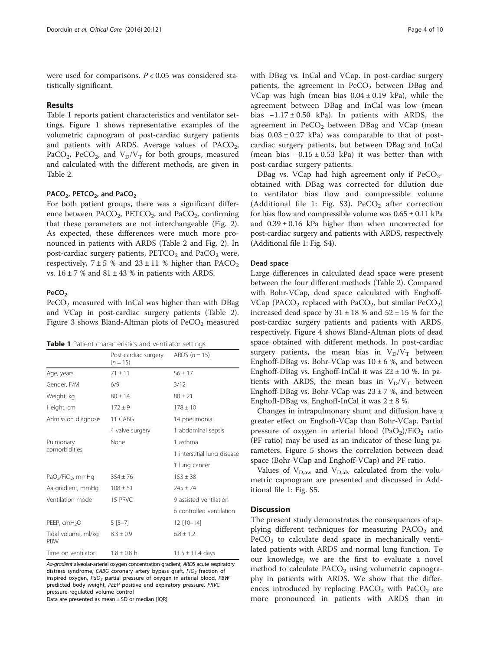were used for comparisons.  $P < 0.05$  was considered statistically significant.

#### Results

Table 1 reports patient characteristics and ventilator settings. Figure [1](#page-4-0) shows representative examples of the volumetric capnogram of post-cardiac surgery patients and patients with ARDS. Average values of  $PACO<sub>2</sub>$ , PaCO<sub>2</sub>, PeCO<sub>2</sub>, and  $V_D/V_T$  for both groups, measured and calculated with the different methods, are given in Table [2.](#page-4-0)

#### PACO<sub>2</sub>, PETCO<sub>2</sub>, and PaCO<sub>2</sub>

For both patient groups, there was a significant difference between  $PACO<sub>2</sub>$ ,  $PETCO<sub>2</sub>$ , and  $PaCO<sub>2</sub>$ , confirming that these parameters are not interchangeable (Fig. [2](#page-5-0)). As expected, these differences were much more pronounced in patients with ARDS (Table [2](#page-4-0) and Fig. [2\)](#page-5-0). In post-cardiac surgery patients,  $PETCO<sub>2</sub>$  and  $PaCO<sub>2</sub>$  were, respectively,  $7 \pm 5$  % and  $23 \pm 11$  % higher than  $PACO<sub>2</sub>$ vs.  $16 \pm 7$  % and  $81 \pm 43$  % in patients with ARDS.

### PeCO<sub>2</sub>

 $PeCO<sub>2</sub>$  measured with InCal was higher than with DBag and VCap in post-cardiac surgery patients (Table [2](#page-4-0)). Figure [3](#page-5-0) shows Bland-Altman plots of  $PeCO<sub>2</sub>$  measured

|                                           | Post-cardiac surgery<br>$(n = 15)$ | ARDS $(n = 15)$             |  |  |
|-------------------------------------------|------------------------------------|-----------------------------|--|--|
| Age, years                                | $71 \pm 11$                        | $56 + 17$                   |  |  |
| Gender, F/M                               | 6/9                                | 3/12                        |  |  |
| Weight, kg                                | $80 \pm 14$                        | $80 \pm 21$                 |  |  |
| Height, cm                                | $172 \pm 9$                        | $178 \pm 10$                |  |  |
| Admission diagnosis                       | 11 CABG                            | 14 pneumonia                |  |  |
|                                           | 4 valve surgery                    | 1 abdominal sepsis          |  |  |
| Pulmonary                                 | None                               | 1 asthma                    |  |  |
| comorbidities                             |                                    | 1 interstitial lung disease |  |  |
|                                           |                                    | 1 lung cancer               |  |  |
| PaO <sub>2</sub> /FiO <sub>2</sub> , mmHq | $354 \pm 76$                       | $153 \pm 38$                |  |  |
| Aa-gradient, mmHg                         | $108 \pm 51$                       | $245 \pm 74$                |  |  |
| Ventilation mode                          | 15 PRVC                            | 9 assisted ventilation      |  |  |
|                                           |                                    | 6 controlled ventilation    |  |  |
| PEEP, cmH <sub>2</sub> O                  | $5[5-7]$                           | 12 [10-14]                  |  |  |
| Tidal volume, ml/kg<br><b>PRW</b>         | $8.3 \pm 0.9$                      | $6.8 \pm 1.2$               |  |  |
| Time on ventilator                        | $1.8 \pm 0.8$ h                    | $11.5 \pm 11.4$ days        |  |  |

Aa-gradient alveolar-arterial oxygen concentration gradient, ARDS acute respiratory distress syndrome, CABG coronary artery bypass graft,  $FiO<sub>2</sub>$  fraction of inspired oxygen,  $PaO<sub>2</sub>$  partial pressure of oxygen in arterial blood, PBW predicted body weight, PEEP positive end expiratory pressure, PRVC pressure-regulated volume control

Data are presented as mean ± SD or median [IQR]

with DBag vs. InCal and VCap. In post-cardiac surgery patients, the agreement in  $PeCO<sub>2</sub>$  between DBag and VCap was high (mean bias  $0.04 \pm 0.19$  kPa), while the agreement between DBag and InCal was low (mean bias −1.17 ± 0.50 kPa). In patients with ARDS, the agreement in  $PeCO<sub>2</sub>$  between DBag and VCap (mean bias  $0.03 \pm 0.27$  kPa) was comparable to that of postcardiac surgery patients, but between DBag and InCal (mean bias  $-0.15 \pm 0.53$  kPa) it was better than with post-cardiac surgery patients.

DBag vs. VCap had high agreement only if  $PeCO<sub>2</sub>$ obtained with DBag was corrected for dilution due to ventilator bias flow and compressible volume (Additional file [1](#page-8-0): Fig. S3).  $PeCO_2$  after correction for bias flow and compressible volume was  $0.65 \pm 0.11$  kPa and  $0.39 \pm 0.16$  kPa higher than when uncorrected for post-cardiac surgery and patients with ARDS, respectively (Additional file [1](#page-8-0): Fig. S4).

#### Dead space

Large differences in calculated dead space were present between the four different methods (Table [2](#page-4-0)). Compared with Bohr-VCap, dead space calculated with Enghoff-VCap (PACO<sub>2</sub> replaced with PaCO<sub>2</sub>, but similar PeCO<sub>2</sub>) increased dead space by  $31 \pm 18$  % and  $52 \pm 15$  % for the post-cardiac surgery patients and patients with ARDS, respectively. Figure [4](#page-6-0) shows Bland-Altman plots of dead space obtained with different methods. In post-cardiac surgery patients, the mean bias in  $V_D/V_T$  between Enghoff-DBag vs. Bohr-VCap was  $10 \pm 6$  %, and between Enghoff-DBag vs. Enghoff-InCal it was 22 ± 10 %. In patients with ARDS, the mean bias in  $V_D/V_T$  between Enghoff-DBag vs. Bohr-VCap was  $23 \pm 7$  %, and between Enghoff-DBag vs. Enghoff-InCal it was  $2 \pm 8$  %.

Changes in intrapulmonary shunt and diffusion have a greater effect on Enghoff-VCap than Bohr-VCap. Partial pressure of oxygen in arterial blood  $(PaO<sub>2</sub>)/FiO<sub>2</sub>$  ratio (PF ratio) may be used as an indicator of these lung parameters. Figure [5](#page-7-0) shows the correlation between dead space (Bohr-VCap and Enghoff-VCap) and PF ratio.

Values of  $V_{D,aw}$  and  $V_{D,ab}$  calculated from the volumetric capnogram are presented and discussed in Additional file [1:](#page-8-0) Fig. S5.

#### **Discussion**

The present study demonstrates the consequences of applying different techniques for measuring  $PACO<sub>2</sub>$  and  $PeCO<sub>2</sub>$  to calculate dead space in mechanically ventilated patients with ARDS and normal lung function. To our knowledge, we are the first to evaluate a novel method to calculate  $PACO<sub>2</sub>$  using volumetric capnography in patients with ARDS. We show that the differences introduced by replacing  $PACO<sub>2</sub>$  with  $PACO<sub>2</sub>$  are more pronounced in patients with ARDS than in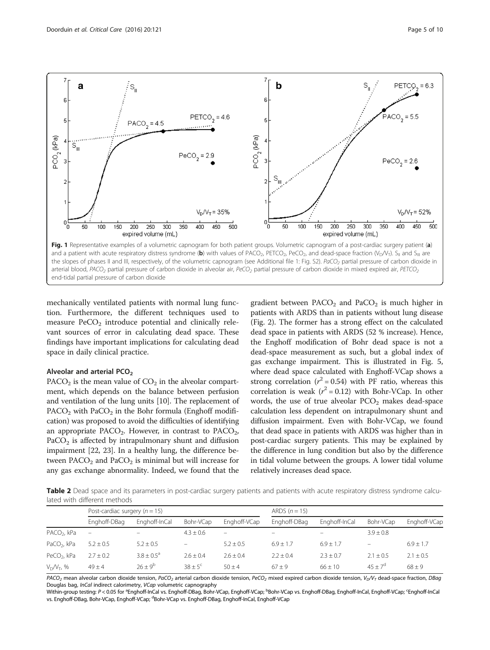<span id="page-4-0"></span>

mechanically ventilated patients with normal lung function. Furthermore, the different techniques used to measure  $PeCO<sub>2</sub>$  introduce potential and clinically relevant sources of error in calculating dead space. These findings have important implications for calculating dead space in daily clinical practice.

#### Alveolar and arterial PCO<sub>2</sub>

PACO<sub>2</sub> is the mean value of  $CO<sub>2</sub>$  in the alveolar compartment, which depends on the balance between perfusion and ventilation of the lung units [\[10](#page-8-0)]. The replacement of  $PACO<sub>2</sub>$  with  $PACO<sub>2</sub>$  in the Bohr formula (Enghoff modification) was proposed to avoid the difficulties of identifying an appropriate  $PACO<sub>2</sub>$ . However, in contrast to  $PACO<sub>2</sub>$ ,  $PaCO<sub>2</sub>$  is affected by intrapulmonary shunt and diffusion impairment [\[22, 23\]](#page-9-0). In a healthy lung, the difference between  $PACO<sub>2</sub>$  and  $PACO<sub>2</sub>$  is minimal but will increase for any gas exchange abnormality. Indeed, we found that the

gradient between  $PACO<sub>2</sub>$  and  $PACO<sub>2</sub>$  is much higher in patients with ARDS than in patients without lung disease (Fig. [2](#page-5-0)). The former has a strong effect on the calculated dead space in patients with ARDS (52 % increase). Hence, the Enghoff modification of Bohr dead space is not a dead-space measurement as such, but a global index of gas exchange impairment. This is illustrated in Fig. [5](#page-7-0), where dead space calculated with Enghoff-VCap shows a strong correlation ( $r^2$  = 0.54) with PF ratio, whereas this correlation is weak ( $r^2 = 0.12$ ) with Bohr-VCap. In other words, the use of true alveolar  $PCO<sub>2</sub>$  makes dead-space calculation less dependent on intrapulmonary shunt and diffusion impairment. Even with Bohr-VCap, we found that dead space in patients with ARDS was higher than in post-cardiac surgery patients. This may be explained by the difference in lung condition but also by the difference in tidal volume between the groups. A lower tidal volume relatively increases dead space.

Table 2 Dead space and its parameters in post-cardiac surgery patients and patients with acute respiratory distress syndrome calculated with different methods

|                         | Post-cardiac surgery $(n = 15)$ |                     |                          | ARDS $(n = 15)$          |                          |               |                          |               |
|-------------------------|---------------------------------|---------------------|--------------------------|--------------------------|--------------------------|---------------|--------------------------|---------------|
|                         | Enghoff-DBag                    | Enghoff-InCal       | Bohr-VCap                | Enghoff-VCap             | Enghoff-DBag             | Enghoff-InCal | Bohr-VCap                | Enghoff-VCap  |
| PACO <sub>2</sub> , kPa | $\overline{\phantom{a}}$        | $\equiv$            | $4.3 \pm 0.6$            | $\overline{\phantom{m}}$ | $\overline{\phantom{0}}$ | $-$           | $3.9 + 0.8$              |               |
| PaCO <sub>2</sub> , kPa | $5.2 \pm 0.5$                   | $5.2 \pm 0.5$       | $\overline{\phantom{0}}$ | $5.2 + 0.5$              | $6.9 + 1.7$              | $6.9 + 1.7$   | $\overline{\phantom{0}}$ | $6.9 \pm 1.7$ |
| PeCO <sub>2</sub> , kPa | $2.7 \pm 0.2$                   | $3.8 + 0.5^{\circ}$ | $2.6 \pm 0.4$            | $2.6 + 0.4$              | $2.2 + 0.4$              | $2.3 \pm 0.7$ | $2.1 \pm 0.5$            | $2.1 \pm 0.5$ |
| $V_D/V_T$ , %           | $49 \pm 4$                      | $76 + 9^b$          | $38 + 5^{\circ}$         | $50 + 4$                 | $67 + 9$                 | $66 + 10$     | $45 + 7^d$               | $68 + 9$      |

 $PACO<sub>2</sub>$  mean alveolar carbon dioxide tension,  $PaCO<sub>2</sub>$  arterial carbon dioxide tension,  $PeCO<sub>2</sub>$  mixed expired carbon dioxide tension,  $V_DV_T$  dead-space fraction, DBag Douglas bag, InCal indirect calorimetry, VCap volumetric capnography

Within-group testing: P < 0.05 for <sup>a</sup>Enghoff-InCal vs. Enghoff-DBag, Bohr-VCap, Enghoff-VCap; <sup>b</sup>Bohr-VCap vs. Enghoff-DBag, Enghoff-InCal, Enghoff-VCap; <sup>c</sup>Enghoff-InCal vs. Enghoff-DBag, Bohr-VCap, Enghoff-VCap; <sup>d</sup>Bohr-VCap vs. Enghoff-DBag, Enghoff-InCal, Enghoff-VCap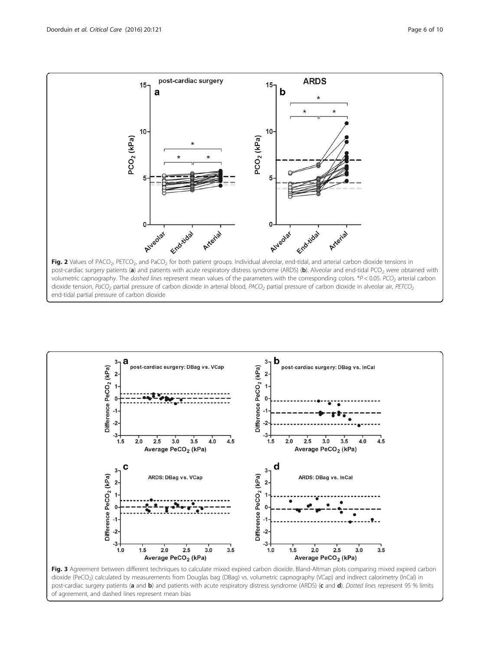<span id="page-5-0"></span>





dioxide (PeCO<sub>2</sub>) calculated by measurements from Douglas bag (DBag) vs. volumetric capnography (VCap) and indirect calorimetry (InCal) in post-cardiac surgery patients (a and b) and patients with acute respiratory distress syndrome (ARDS) (c and d). Dotted lines represent 95 % limits of agreement, and dashed lines represent mean bias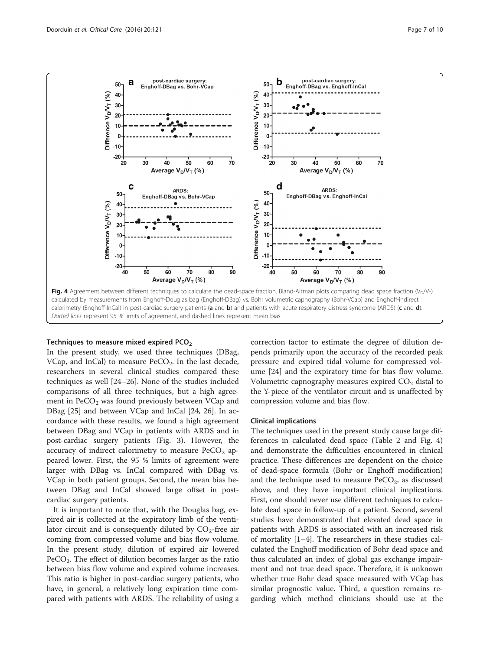

<span id="page-6-0"></span>

#### Techniques to measure mixed expired  $PCO<sub>2</sub>$

In the present study, we used three techniques (DBag, VCap, and InCal) to measure  $PeCO<sub>2</sub>$ . In the last decade, researchers in several clinical studies compared these techniques as well [[24](#page-9-0)–[26](#page-9-0)]. None of the studies included comparisons of all three techniques, but a high agreement in  $PeCO<sub>2</sub>$  was found previously between VCap and DBag [[25](#page-9-0)] and between VCap and InCal [[24, 26](#page-9-0)]. In accordance with these results, we found a high agreement between DBag and VCap in patients with ARDS and in post-cardiac surgery patients (Fig. [3\)](#page-5-0). However, the accuracy of indirect calorimetry to measure  $PeCO<sub>2</sub>$  appeared lower. First, the 95 % limits of agreement were larger with DBag vs. InCal compared with DBag vs. VCap in both patient groups. Second, the mean bias between DBag and InCal showed large offset in postcardiac surgery patients.

It is important to note that, with the Douglas bag, expired air is collected at the expiratory limb of the ventilator circuit and is consequently diluted by  $CO_2$ -free air coming from compressed volume and bias flow volume. In the present study, dilution of expired air lowered PeCO<sub>2</sub>. The effect of dilution becomes larger as the ratio between bias flow volume and expired volume increases. This ratio is higher in post-cardiac surgery patients, who have, in general, a relatively long expiration time compared with patients with ARDS. The reliability of using a correction factor to estimate the degree of dilution depends primarily upon the accuracy of the recorded peak pressure and expired tidal volume for compressed volume [[24](#page-9-0)] and the expiratory time for bias flow volume. Volumetric capnography measures expired  $CO<sub>2</sub>$  distal to the Y-piece of the ventilator circuit and is unaffected by compression volume and bias flow.

### Clinical implications

The techniques used in the present study cause large differences in calculated dead space (Table [2](#page-4-0) and Fig. 4) and demonstrate the difficulties encountered in clinical practice. These differences are dependent on the choice of dead-space formula (Bohr or Enghoff modification) and the technique used to measure  $PeCO<sub>2</sub>$ , as discussed above, and they have important clinical implications. First, one should never use different techniques to calculate dead space in follow-up of a patient. Second, several studies have demonstrated that elevated dead space in patients with ARDS is associated with an increased risk of mortality [[1](#page-8-0)–[4](#page-8-0)]. The researchers in these studies calculated the Enghoff modification of Bohr dead space and thus calculated an index of global gas exchange impairment and not true dead space. Therefore, it is unknown whether true Bohr dead space measured with VCap has similar prognostic value. Third, a question remains regarding which method clinicians should use at the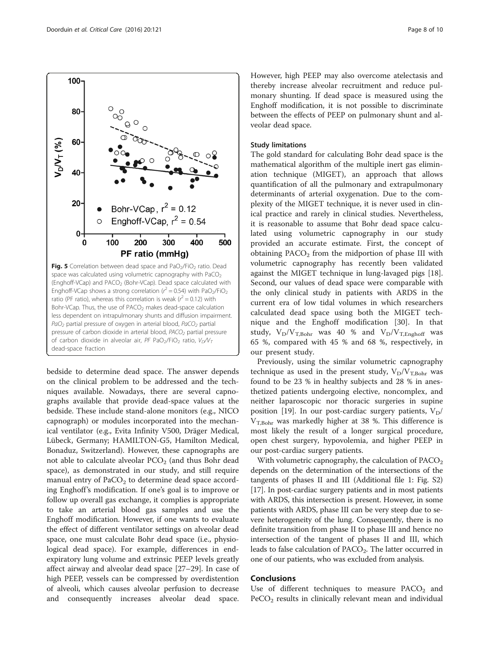<span id="page-7-0"></span>Doorduin et al. Critical Care (2016) 20:121



bedside to determine dead space. The answer depends on the clinical problem to be addressed and the techniques available. Nowadays, there are several capnographs available that provide dead-space values at the bedside. These include stand-alone monitors (e.g., NICO capnograph) or modules incorporated into the mechanical ventilator (e.g., Evita Infinity V500, Dräger Medical, Lübeck, Germany; HAMILTON-G5, Hamilton Medical, Bonaduz, Switzerland). However, these capnographs are not able to calculate alveolar  $PCO<sub>2</sub>$  (and thus Bohr dead space), as demonstrated in our study, and still require manual entry of  $PaCO<sub>2</sub>$  to determine dead space according Enghoff's modification. If one's goal is to improve or follow up overall gas exchange, it complies is appropriate to take an arterial blood gas samples and use the Enghoff modification. However, if one wants to evaluate the effect of different ventilator settings on alveolar dead space, one must calculate Bohr dead space (i.e., physiological dead space). For example, differences in endexpiratory lung volume and extrinsic PEEP levels greatly affect airway and alveolar dead space [\[27](#page-9-0)–[29\]](#page-9-0). In case of high PEEP, vessels can be compressed by overdistention of alveoli, which causes alveolar perfusion to decrease and consequently increases alveolar dead space.

However, high PEEP may also overcome atelectasis and thereby increase alveolar recruitment and reduce pulmonary shunting. If dead space is measured using the Enghoff modification, it is not possible to discriminate between the effects of PEEP on pulmonary shunt and alveolar dead space.

#### Study limitations

The gold standard for calculating Bohr dead space is the mathematical algorithm of the multiple inert gas elimination technique (MIGET), an approach that allows quantification of all the pulmonary and extrapulmonary determinants of arterial oxygenation. Due to the complexity of the MIGET technique, it is never used in clinical practice and rarely in clinical studies. Nevertheless, it is reasonable to assume that Bohr dead space calculated using volumetric capnography in our study provided an accurate estimate. First, the concept of obtaining  $PACO<sub>2</sub>$  from the midportion of phase III with volumetric capnography has recently been validated against the MIGET technique in lung-lavaged pigs [\[18](#page-8-0)]. Second, our values of dead space were comparable with the only clinical study in patients with ARDS in the current era of low tidal volumes in which researchers calculated dead space using both the MIGET technique and the Enghoff modification [[30\]](#page-9-0). In that study,  $V_D/V_{T,Bohr}$  was 40 % and  $V_D/V_{T,Enghoff}$  was 65 %, compared with 45 % and 68 %, respectively, in our present study.

Previously, using the similar volumetric capnography technique as used in the present study,  $V_D/V_{T,Bohr}$  was found to be 23 % in healthy subjects and 28 % in anesthetized patients undergoing elective, noncomplex, and neither laparoscopic nor thoracic surgeries in supine position [\[19\]](#page-8-0). In our post-cardiac surgery patients,  $V_D$ /  $V<sub>T.Bohr</sub>$  was markedly higher at 38 %. This difference is most likely the result of a longer surgical procedure, open chest surgery, hypovolemia, and higher PEEP in our post-cardiac surgery patients.

With volumetric capnography, the calculation of  $PACO<sub>2</sub>$ depends on the determination of the intersections of the tangents of phases II and III (Additional file [1:](#page-8-0) Fig. S2) [[17](#page-8-0)]. In post-cardiac surgery patients and in most patients with ARDS, this intersection is present. However, in some patients with ARDS, phase III can be very steep due to severe heterogeneity of the lung. Consequently, there is no definite transition from phase II to phase III and hence no intersection of the tangent of phases II and III, which leads to false calculation of  $PACO<sub>2</sub>$ . The latter occurred in one of our patients, who was excluded from analysis.

### **Conclusions**

Use of different techniques to measure  $PACO<sub>2</sub>$  and  $PeCO<sub>2</sub>$  results in clinically relevant mean and individual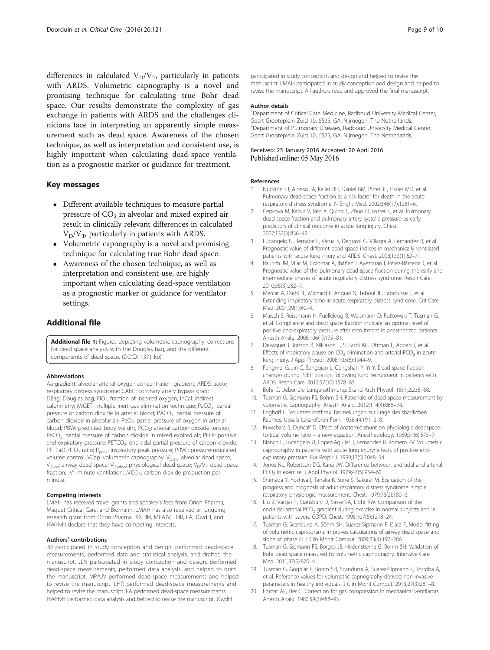<span id="page-8-0"></span>differences in calculated  $V_D/V_T$ , particularly in patients with ARDS. Volumetric capnography is a novel and promising technique for calculating true Bohr dead space. Our results demonstrate the complexity of gas exchange in patients with ARDS and the challenges clinicians face in interpreting an apparently simple measurement such as dead space. Awareness of the chosen technique, as well as interpretation and consistent use, is highly important when calculating dead-space ventilation as a prognostic marker or guidance for treatment.

### Key messages

- Different available techniques to measure partial pressure of  $CO<sub>2</sub>$  in alveolar and mixed expired air result in clinically relevant differences in calculated  $V_D/V_T$ , particularly in patients with ARDS.
- Volumetric capnography is a novel and promising technique for calculating true Bohr dead space.
- Awareness of the chosen technique, as well as interpretation and consistent use, are highly important when calculating dead-space ventilation as a prognostic marker or guidance for ventilator settings.

### Additional file

[Additional file 1:](dx.doi.org/10.1186/s13054-016-1311-8) Figures depicting volumetric capnography, corrections for dead space analysis with the Douglas bag, and the different components of dead space. (DOCX 1371 kb)

#### Abbreviations

Aa-gradient: alveolar-arterial oxygen concentration gradient; ARDS: acute respiratory distress syndrome; CABG: coronary artery bypass graft; DBag: Douglas bag; FiO<sub>2</sub>: fraction of inspired oxygen; InCal: indirect calorimetry; MIGET: multiple inert gas elimination technique; PaCO<sub>2</sub>: partial pressure of carbon dioxide in arterial blood; PACO<sub>2</sub>: partial pressure of carbon dioxide in alveolar air; PaO<sub>2</sub>: partial pressure of oxygen in arterial blood; PBW: predicted body weight; PCO<sub>2</sub>: arterial carbon dioxide tension; PeCO<sub>2</sub>: partial pressure of carbon dioxide in mixed expired air; PEEP: positive end-expiratory pressure; PETCO<sub>2</sub>: end-tidal partial pressure of carbon dioxide; PF: PaO<sub>2</sub>/FiO<sub>2</sub> ratio; P<sub>peak</sub>: inspiratory peak pressure; PRVC: pressure-regulated volume control; VCap: volumetric capnography; V<sub>D,alv</sub>: alveolar dead space;  $V_{D,aw}$ : airway dead space;  $V_{D,phys}$ : physiological dead space;  $V_D/V_T$ : dead-space fraction; .V: minute ventilation; .VCO<sub>2</sub>: carbon dioxide production per minute.

#### Competing interests

LMAH has received travel grants and speaker's fees from Orion Pharma, Maquet Critical Care, and Biomarin. LMAH has also received an ongoing research grant from Orion Pharma. JD, JlN, MPAJV, LHR, FA, JGvdH, and HWHvH declare that they have competing interests.

#### Authors' contributions

JD participated in study conception and design, performed dead-space measurements, performed data and statistical analysis, and drafted the manuscript. JLN participated in study conception and design, performed dead-space measurements, performed data analysis, and helped to draft the manuscript. MPAJV performed dead-space measurements and helped to revise the manuscript. LHR performed dead-space measurements and helped to revise the manuscript. FA performed dead-space measurements. HWHvH performed data analysis and helped to revise the manuscript. JGvdH

participated in study conception and design and helped to revise the manuscript. LMAH participated in study conception and design and helped to revise the manuscript. All authors read and approved the final manuscript.

#### Author details

<sup>1</sup>Department of Critical Care Medicine, Radboud University Medical Center, Geert Grooteplein Zuid 10, 6525, GA, Nijmegen, The Netherlands. <sup>2</sup> Department of Pulmonary Diseases, Radboud University Medical Center, Geert Grooteplein Zuid 10, 6525, GA, Nijmegen, The Netherlands.

#### Received: 25 January 2016 Accepted: 20 April 2016 Published online: 05 May 2016

#### References

- 1. Nuckton TJ, Alonso JA, Kallet RH, Daniel BM, Pittet JF, Eisner MD, et al. Pulmonary dead-space fraction as a risk factor for death in the acute respiratory distress syndrome. N Engl J Med. 2002;346(17):1281–6.
- 2. Cepkova M, Kapur V, Ren X, Quinn T, Zhuo H, Foster E, et al. Pulmonary dead space fraction and pulmonary artery systolic pressure as early predictors of clinical outcome in acute lung injury. Chest. 2007;132(3):836–42.
- 3. Lucangelo U, Bernabe F, Vatua S, Degrassi G, Villagra A, Fernandez R, et al. Prognostic value of different dead space indices in mechanically ventilated patients with acute lung injury and ARDS. Chest. 2008;133(1):62–71.
- 4. Raurich JM, Vilar M, Colomar A, Ibáñez J, Ayestarán I, Pérez-Bárcena J, et al. Prognostic value of the pulmonary dead-space fraction during the early and intermediate phases of acute respiratory distress syndrome. Respir Care. 2010;55(3):282–7.
- 5. Mercat A, Diehl JL, Michard F, Anguel N, Teboul JL, Labrousse J, et al. Extending inspiratory time in acute respiratory distress syndrome. Crit Care Med. 2001;29(1):40–4.
- 6. Maisch S, Reissmann H, Fuellekrug B, Weismann D, Rutkowski T, Tusman G, et al. Compliance and dead space fraction indicate an optimal level of positive end-expiratory pressure after recruitment in anesthetized patients. Anesth Analg. 2008;106(1):175–81.
- 7. Devaquet J, Jonson B, Niklason L, Si Larbi AG, Uttman L, Aboab J, et al. Effects of inspiratory pause on  $CO<sub>2</sub>$  elimination and arterial PCO<sub>2</sub> in acute lung injury. J Appl Physiol. 2008;105(6):1944–9.
- 8. Fengmei G, Jin C, Songqiao L, Congshan Y, Yi Y. Dead space fraction changes during PEEP titration following lung recruitment in patients with ARDS. Respir Care. 2012;57(10):1578–85.
- 9. Bohr C. Ueber die Lungenathmung. Skand Arch Physiol. 1891;2:236–68.
- 10. Tusman G, Sipmann FS, Bohm SH. Rationale of dead space measurement by volumetric capnography. Anesth Analg. 2012;114(4):866–74.
- 11. Enghoff H. Volumen inefficax. Bermekungen zur Frage des shadlichen Raumes. Upsala Lakareforen Forh. 1938;44:191–218.
- 12. Kuwabara S, Duncalf D. Effect of anatomic shunt on physiologic deadspaceto-tidal volume ratio – a new equation. Anesthesiology. 1969;31(6):575–7.
- 13. Blanch L, Lucangelo U, Lopez-Aguilar J, Fernandez R, Romero PV. Volumetric capnography in patients with acute lung injury: effects of positive endexpiratory pressure. Eur Respir J. 1999;13(5):1048–54.
- 14. Jones NL, Robertson DG, Kane JW. Difference between end-tidal and arterial PCO2 in exercise. J Appl Physiol. 1979;47(5):954–60.
- 15. Shimada Y, Yoshiya I, Tanaka K, Sone S, Sakurai M. Evaluation of the progress and prognosis of adult respiratory distress syndrome: simple respiratory physiologic measurement. Chest. 1979;76(2):180–6.
- 16. Liu Z, Vargas F, Stansbury D, Sasse SA, Light RW. Comparison of the end-tidal arterial PCO<sub>2</sub> gradient during exercise in normal subjects and in patients with severe COPD. Chest. 1995;107(5):1218–24.
- 17. Tusman G, Scandurra A, Böhm SH, Suarez-Sipmann F, Clara F. Model fitting of volumetric capnograms improves calculations of airway dead space and slope of phase III. J Clin Monit Comput. 2009;23(4):197–206.
- 18. Tusman G, Sipmann FS, Borges JB, Hedenstierna G, Bohm SH. Validation of Bohr dead space measured by volumetric capnography. Intensive Care Med. 2011;37(5):870–4.
- 19. Tusman G, Gogniat E, Bohm SH, Scandurra A, Suarez-Sipmann F, Torroba A, et al. Reference values for volumetric capnography-derived non-invasive parameters in healthy individuals. J Clin Monit Comput. 2013;27(3):281–8.
- 20. Forbat AF, Her C. Correction for gas compression in mechanical ventilators. Anesth Analg. 1980;59(7):488–93.